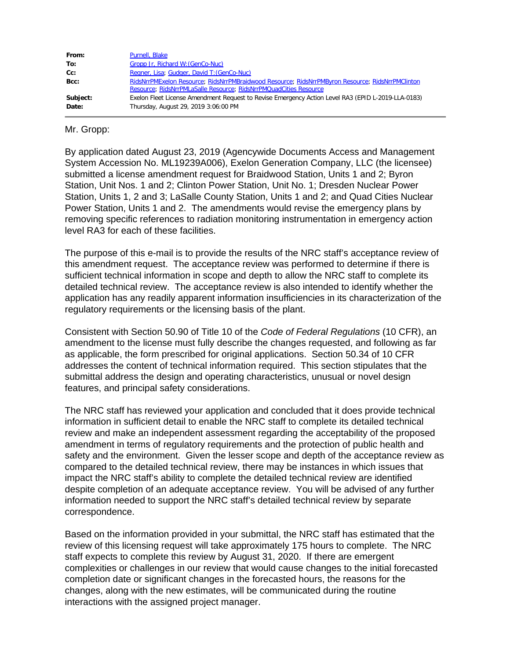| From:             | Purnell, Blake                                                                                                                                                        |
|-------------------|-----------------------------------------------------------------------------------------------------------------------------------------------------------------------|
| To:               | Gropp Jr, Richard W: (GenCo-Nuc)                                                                                                                                      |
| Cc:               | Regner, Lisa; Gudger, David T: (GenCo-Nuc)                                                                                                                            |
| Bcc:              | RidsNrrPMExelon Resource; RidsNrrPMBraidwood Resource; RidsNrrPMByron Resource; RidsNrrPMClinton<br>Resource: RidsNrrPMLaSalle Resource: RidsNrrPMQuadCities Resource |
| Subject:<br>Date: | Exelon Fleet License Amendment Request to Revise Emergency Action Level RA3 (EPID L-2019-LLA-0183)<br>Thursday, August 29, 2019 3:06:00 PM                            |

Mr. Gropp:

By application dated August 23, 2019 (Agencywide Documents Access and Management System Accession No. ML19239A006), Exelon Generation Company, LLC (the licensee) submitted a license amendment request for Braidwood Station, Units 1 and 2; Byron Station, Unit Nos. 1 and 2; Clinton Power Station, Unit No. 1; Dresden Nuclear Power Station, Units 1, 2 and 3; LaSalle County Station, Units 1 and 2; and Quad Cities Nuclear Power Station, Units 1 and 2. The amendments would revise the emergency plans by removing specific references to radiation monitoring instrumentation in emergency action level RA3 for each of these facilities.

The purpose of this e-mail is to provide the results of the NRC staff's acceptance review of this amendment request. The acceptance review was performed to determine if there is sufficient technical information in scope and depth to allow the NRC staff to complete its detailed technical review. The acceptance review is also intended to identify whether the application has any readily apparent information insufficiencies in its characterization of the regulatory requirements or the licensing basis of the plant.

Consistent with Section 50.90 of Title 10 of the *Code of Federal Regulations* (10 CFR), an amendment to the license must fully describe the changes requested, and following as far as applicable, the form prescribed for original applications. Section 50.34 of 10 CFR addresses the content of technical information required. This section stipulates that the submittal address the design and operating characteristics, unusual or novel design features, and principal safety considerations.

The NRC staff has reviewed your application and concluded that it does provide technical information in sufficient detail to enable the NRC staff to complete its detailed technical review and make an independent assessment regarding the acceptability of the proposed amendment in terms of regulatory requirements and the protection of public health and safety and the environment. Given the lesser scope and depth of the acceptance review as compared to the detailed technical review, there may be instances in which issues that impact the NRC staff's ability to complete the detailed technical review are identified despite completion of an adequate acceptance review. You will be advised of any further information needed to support the NRC staff's detailed technical review by separate correspondence.

Based on the information provided in your submittal, the NRC staff has estimated that the review of this licensing request will take approximately 175 hours to complete. The NRC staff expects to complete this review by August 31, 2020. If there are emergent complexities or challenges in our review that would cause changes to the initial forecasted completion date or significant changes in the forecasted hours, the reasons for the changes, along with the new estimates, will be communicated during the routine interactions with the assigned project manager.